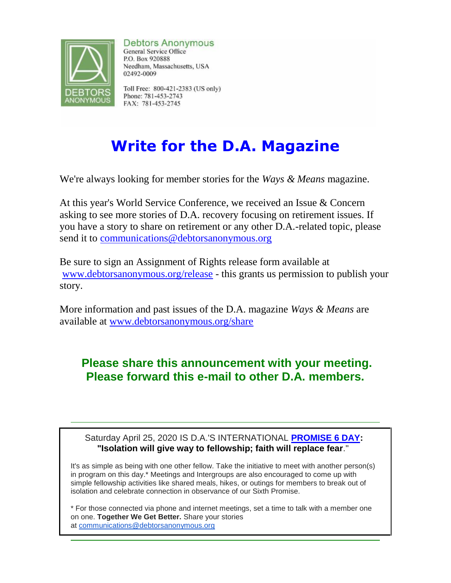

**Debtors Anonymous** 

General Service Office P.O. Box 920888 Needham, Massachusetts, USA 02492-0009

Toll Free: 800-421-2383 (US only) Phone: 781-453-2743 FAX: 781-453-2745

## **Write for the D.A. Magazine**

We're always looking for member stories for the *Ways & Means* magazine.

At this year's World Service Conference, we received an Issue & Concern asking to see more stories of D.A. recovery focusing on retirement issues. If you have a story to share on retirement or any other D.A.-related topic, please send it to [communications@debtorsanonymous.org](mailto:communications@debtorsanonymousorg)

Be sure to sign an Assignment of Rights release form available at [www.debtorsanonymous.org/release](http://r20.rs6.net/tn.jsp?f=001ojUA1cLGSggVcmqQo57icNB3ueKkY-0-n5ArGjm2JLHTanEIIBFgZM8XPUPQ8rAuEvN_dL12EwtNQHuR2vTZkC47DRshM3zdlifEZ0UQKXq8Jk8W1QDKVZsRFOets3s3RgtsI3VvnNY_KFesdyPvlJu6IwFrK3XwjQY-KpGrqNCPww1x8RoVivMglwVuEXL9&c=zxOHZZ4kaA6QzjeVNv1vNs8KYlW2LTGBU4KZzlAtaG4qnr-yMcMdtg==&ch=8u9crTo7nnliKC0X4H3lt4PQRQ8FUylN9Vs1Ie6UuEUguckXkWt_IQ==) - this grants us permission to publish your story.

More information and past issues of the D.A. magazine *Ways & Means* are available at [www.debtorsanonymous.org/share](http://r20.rs6.net/tn.jsp?f=001ojUA1cLGSggVcmqQo57icNB3ueKkY-0-n5ArGjm2JLHTanEIIBFgZOc0MqE1pyVDn2HFG75wAD8H-DoA-xk9cPNI1flgMhEpeLW1T6_kIU4dmTB9-Nf_eOm6xmZyNmKI9BtI3Jgy3gImwtkUcEt9qydBN_QC96nmEYNw8JtVvlMNJstNAP4kh3NktlYyEu3b&c=zxOHZZ4kaA6QzjeVNv1vNs8KYlW2LTGBU4KZzlAtaG4qnr-yMcMdtg==&ch=8u9crTo7nnliKC0X4H3lt4PQRQ8FUylN9Vs1Ie6UuEUguckXkWt_IQ==)

## **Please share this announcement with your meeting. Please forward this e-mail to other D.A. members.**

## Saturday April 25, 2020 IS D.A.'S INTERNATIONAL **[PROMISE 6 DAY:](http://r20.rs6.net/tn.jsp?f=001ojUA1cLGSggVcmqQo57icNB3ueKkY-0-n5ArGjm2JLHTanEIIBFgZOc0MqE1pyVDq30PuDAo9IkU3nPcN9qtcVyPZwNzcUkDrtT8oVlG90omy9-MR-7TnnDAMVZ8_CZShmhRuuButmpQDZzVOLb1JodREWa-XyDkSoZLaRVhClT6bA0ftnzvJhYNjdHxsE1f3igoCimxTIkSvxZ31keugStTGepcHFKY1Gr_Sh6aDtJY-CC0P_kfNAtHhpxBrskEZeTbqTrIgKQ=&c=zxOHZZ4kaA6QzjeVNv1vNs8KYlW2LTGBU4KZzlAtaG4qnr-yMcMdtg==&ch=8u9crTo7nnliKC0X4H3lt4PQRQ8FUylN9Vs1Ie6UuEUguckXkWt_IQ==) "Isolation will give way to fellowship; faith will replace fear**."

It's as simple as being with one other fellow. Take the initiative to meet with another person(s) in program on this day.\* Meetings and Intergroups are also encouraged to come up with simple fellowship activities like shared meals, hikes, or outings for members to break out of isolation and celebrate connection in observance of our Sixth Promise.

\* For those connected via phone and internet meetings, set a time to talk with a member one on one. **Together We Get Better.** Share your stories at [communications@debtorsanonymous.org](mailto:communications@debtorsanonymous.org)